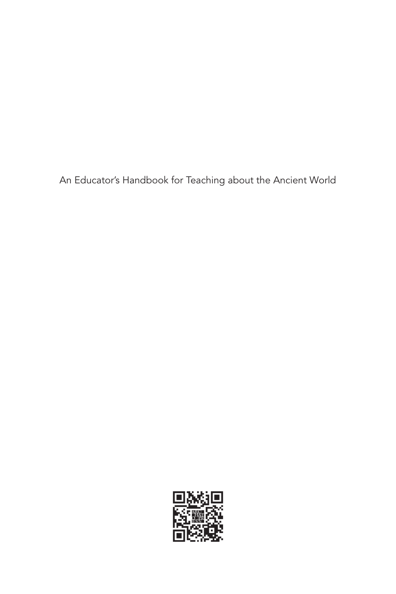An Educator's Handbook for Teaching about the Ancient World

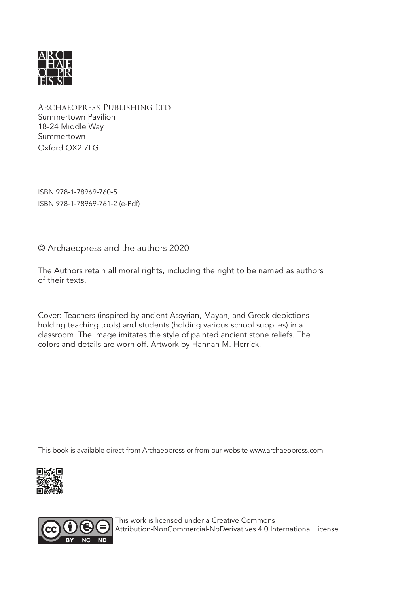

Archaeopress Publishing Ltd Summertown Pavilion 18-24 Middle Way Summertown Oxford OX2 7LG

ISBN 978-1-78969-760-5 ISBN 978-1-78969-761-2 (e-Pdf)

© Archaeopress and the authors 2020

The Authors retain all moral rights, including the right to be named as authors of their texts.

Cover: Teachers (inspired by ancient Assyrian, Mayan, and Greek depictions holding teaching tools) and students (holding various school supplies) in a classroom. The image imitates the style of painted ancient stone reliefs. The colors and details are worn off. Artwork by Hannah M. Herrick.

This book is available direct from Archaeopress or from our website www.archaeopress.com





This work is licensed under a Creative Commons Attribution-NonCommercial-NoDerivatives 4.0 International License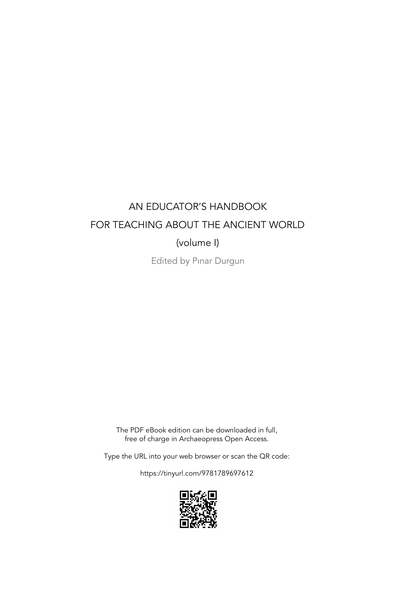## AN EDUCATOR'S HANDBOOK FOR TEACHING ABOUT THE ANCIENT WORLD (volume I)

Edited by Pınar Durgun

The PDF eBook edition can be downloaded in full, free of charge in Archaeopress Open Access.

Type the URL into your web browser or scan the QR code:

https://tinyurl.com/9781789697612

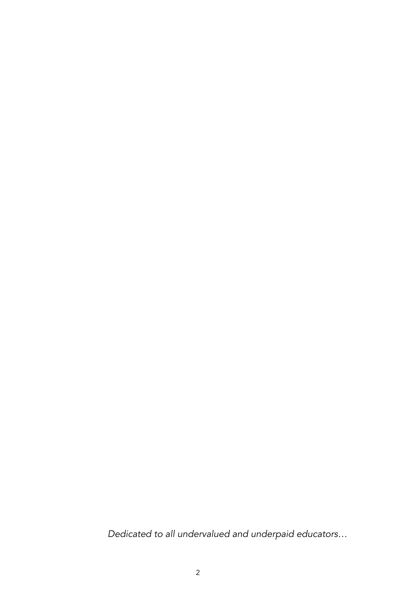*Dedicated to all undervalued and underpaid educators…*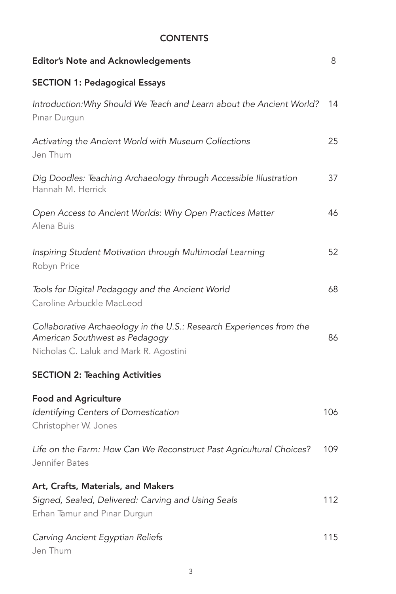## **CONTENTS**

| <b>Editor's Note and Acknowledgements</b>                                                                                                        | 8   |
|--------------------------------------------------------------------------------------------------------------------------------------------------|-----|
| <b>SECTION 1: Pedagogical Essays</b>                                                                                                             |     |
| Introduction: Why Should We Teach and Learn about the Ancient World?<br>Pinar Durgun                                                             | 14  |
| Activating the Ancient World with Museum Collections<br>Jen Thum                                                                                 | 25  |
| Dig Doodles: Teaching Archaeology through Accessible Illustration<br>Hannah M. Herrick                                                           | 37  |
| Open Access to Ancient Worlds: Why Open Practices Matter<br>Alena Buis                                                                           | 46  |
| Inspiring Student Motivation through Multimodal Learning<br>Robyn Price                                                                          | 52  |
| Tools for Digital Pedagogy and the Ancient World<br>Caroline Arbuckle MacLeod                                                                    | 68  |
| Collaborative Archaeology in the U.S.: Research Experiences from the<br>American Southwest as Pedagogy<br>Nicholas C. Laluk and Mark R. Agostini | 86  |
| <b>SECTION 2: Teaching Activities</b>                                                                                                            |     |
| <b>Food and Agriculture</b><br>Identifying Centers of Domestication<br>Christopher W. Jones                                                      | 106 |
| Life on the Farm: How Can We Reconstruct Past Agricultural Choices?<br>Jennifer Bates                                                            | 109 |
| Art, Crafts, Materials, and Makers<br>Signed, Sealed, Delivered: Carving and Using Seals<br>Erhan Tamur and Pinar Durgun                         | 112 |
| Carving Ancient Egyptian Reliefs<br>Jen Thum                                                                                                     | 115 |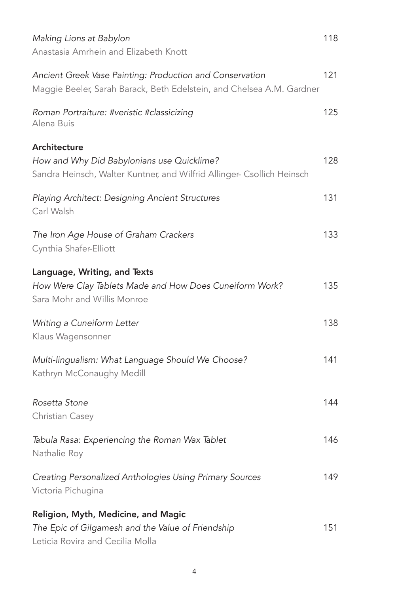| Making Lions at Babylon<br>Anastasia Amrhein and Elizabeth Knott                                                                     | 118 |
|--------------------------------------------------------------------------------------------------------------------------------------|-----|
| Ancient Greek Vase Painting: Production and Conservation<br>Maggie Beeler, Sarah Barack, Beth Edelstein, and Chelsea A.M. Gardner    | 121 |
| Roman Portraiture: #veristic #classicizing<br>Alena Buis                                                                             | 125 |
| Architecture<br>How and Why Did Babylonians use Quicklime?<br>Sandra Heinsch, Walter Kuntner, and Wilfrid Allinger- Csollich Heinsch | 128 |
| Playing Architect: Designing Ancient Structures<br>Carl Walsh                                                                        | 131 |
| The Iron Age House of Graham Crackers<br>Cynthia Shafer-Elliott                                                                      | 133 |
| Language, Writing, and Texts<br>How Were Clay Tablets Made and How Does Cuneiform Work?<br>Sara Mohr and Willis Monroe               | 135 |
| Writing a Cuneiform Letter<br>Klaus Wagensonner                                                                                      | 138 |
| Multi-lingualism: What Language Should We Choose?<br>Kathryn McConaughy Medill                                                       | 141 |
| Rosetta Stone<br>Christian Casey                                                                                                     | 144 |
| Tabula Rasa: Experiencing the Roman Wax Tablet<br>Nathalie Roy                                                                       | 146 |
| Creating Personalized Anthologies Using Primary Sources<br>Victoria Pichugina                                                        | 149 |
| Religion, Myth, Medicine, and Magic<br>The Epic of Gilgamesh and the Value of Friendship<br>Leticia Rovira and Cecilia Molla         | 151 |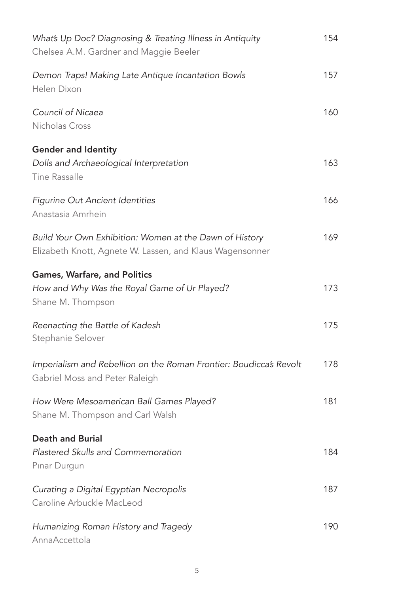| What's Up Doc? Diagnosing & Treating Illness in Antiquity<br>Chelsea A.M. Gardner and Maggie Beeler                 | 154 |
|---------------------------------------------------------------------------------------------------------------------|-----|
| Demon Traps! Making Late Antique Incantation Bowls<br>Helen Dixon                                                   | 157 |
| Council of Nicaea<br>Nicholas Cross                                                                                 | 160 |
| <b>Gender and Identity</b><br>Dolls and Archaeological Interpretation<br>Tine Rassalle                              | 163 |
| Figurine Out Ancient Identities<br>Anastasia Amrhein                                                                | 166 |
| Build Your Own Exhibition: Women at the Dawn of History<br>Elizabeth Knott, Agnete W. Lassen, and Klaus Wagensonner | 169 |
| Games, Warfare, and Politics<br>How and Why Was the Royal Game of Ur Played?<br>Shane M. Thompson                   | 173 |
| Reenacting the Battle of Kadesh<br>Stephanie Selover                                                                | 175 |
| Imperialism and Rebellion on the Roman Frontier: Boudicca's Revolt<br>Gabriel Moss and Peter Raleigh                | 178 |
| How Were Mesoamerican Ball Games Played?<br>Shane M. Thompson and Carl Walsh                                        | 181 |
| <b>Death and Burial</b><br>Plastered Skulls and Commemoration<br>Pinar Durgun                                       | 184 |
| Curating a Digital Egyptian Necropolis<br>Caroline Arbuckle MacLeod                                                 | 187 |
| Humanizing Roman History and Tragedy<br>AnnaAccettola                                                               | 190 |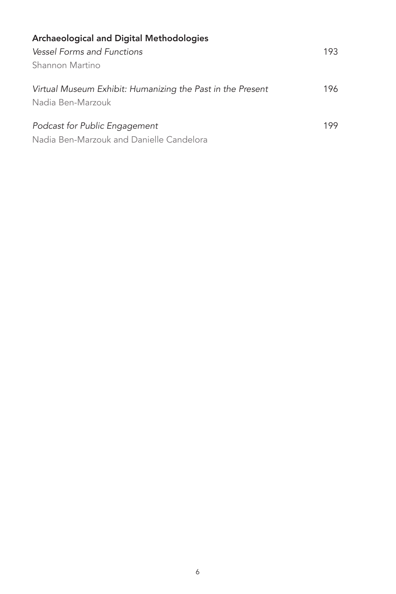| <b>Archaeological and Digital Methodologies</b>            |     |
|------------------------------------------------------------|-----|
| <b>Vessel Forms and Functions</b>                          | 193 |
| Shannon Martino                                            |     |
| Virtual Museum Exhibit: Humanizing the Past in the Present | 196 |
| Nadia Ben-Marzouk                                          |     |
| Podcast for Public Engagement                              | 199 |
| Nadia Ben-Marzouk and Danielle Candelora                   |     |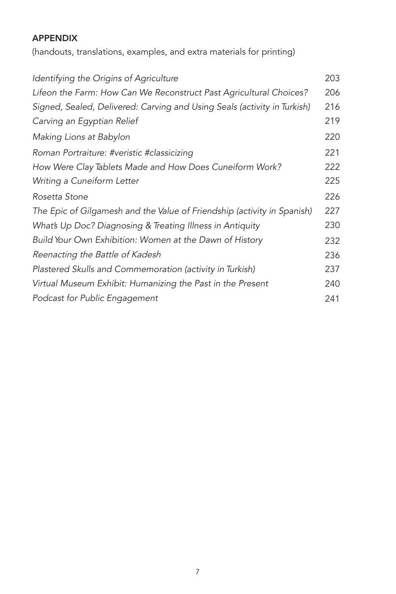## APPENDIX

(handouts, translations, examples, and extra materials for printing)

| Identifying the Origins of Agriculture                                   | 203 |
|--------------------------------------------------------------------------|-----|
| Lifeon the Farm: How Can We Reconstruct Past Agricultural Choices?       | 206 |
| Signed, Sealed, Delivered: Carving and Using Seals (activity in Turkish) | 216 |
| Carving an Egyptian Relief                                               | 219 |
| Making Lions at Babylon                                                  | 220 |
| Roman Portraiture: #veristic #classicizing                               | 221 |
| How Were Clay Tablets Made and How Does Cuneiform Work?                  | 222 |
| Writing a Cuneiform Letter                                               | 225 |
| Rosetta Stone                                                            | 226 |
| The Epic of Gilgamesh and the Value of Friendship (activity in Spanish)  | 227 |
| What's Up Doc? Diagnosing & Treating Illness in Antiquity                | 230 |
| Build Your Own Exhibition: Women at the Dawn of History                  | 232 |
| Reenacting the Battle of Kadesh                                          | 236 |
| Plastered Skulls and Commemoration (activity in Turkish)                 | 237 |
| Virtual Museum Exhibit: Humanizing the Past in the Present               | 240 |
| Podcast for Public Engagement                                            | 241 |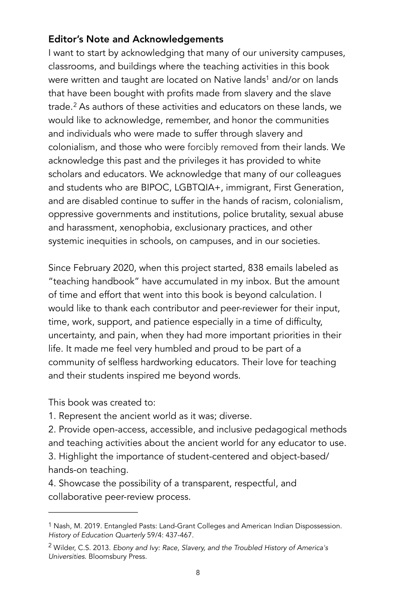## Editor's Note and Acknowledgements

<span id="page-9-3"></span><span id="page-9-2"></span>I want to start by acknowledging that many of our university campuses, classrooms, and buildings where the teaching activities in this book were written and taught are located on Native land[s](#page-9-0)<sup>[1](#page-9-0)</sup> and/or on lands that have been bought with profits made from slavery and the slave trade.<sup>2</sup>As authors of these activities and educators on these lands, we would like to acknowledge, remember, and honor the communities and individuals who were made to suffer through slavery and colonialism, and those who were forcibly removed from their lands. We acknowledge this past and the privileges it has provided to white scholars and educators. We acknowledge that many of our colleagues and students who are BIPOC, LGBTQIA+, immigrant, First Generation, and are disabled continue to suffer in the hands of racism, colonialism, oppressive governments and institutions, police brutality, sexual abuse and harassment, xenophobia, exclusionary practices, and other systemic inequities in schools, on campuses, and in our societies.

Since February 2020, when this project started, 838 emails labeled as "teaching handbook" have accumulated in my inbox. But the amount of time and effort that went into this book is beyond calculation. I would like to thank each contributor and peer-reviewer for their input, time, work, support, and patience especially in a time of difficulty, uncertainty, and pain, when they had more important priorities in their life. It made me feel very humbled and proud to be part of a community of selfless hardworking educators. Their love for teaching and their students inspired me beyond words.

This book was created to:

1. Represent the ancient world as it was; diverse.

2. Provide open-access, accessible, and inclusive pedagogical methods and teaching activities about the ancient world for any educator to use. 3. Highlight the importance of student-centered and object-based/ hands-on teaching.

4. Showcase the possibility of a transparent, respectful, and collaborative peer-review process.

<span id="page-9-0"></span><sup>&</sup>lt;sup>1</sup>Nash, M. 20[1](#page-9-2)9. Entangled Pasts: Land-Grant Colleges and American Indian Dispossession. *History of Education Quarterly* 59/4: 437-467.

<span id="page-9-1"></span>Wilder, C.S. 2013. *Ebony and Ivy: Race, Slavery, and the Troubled History of America's* [2](#page-9-3) *Universities*. Bloomsbury Press.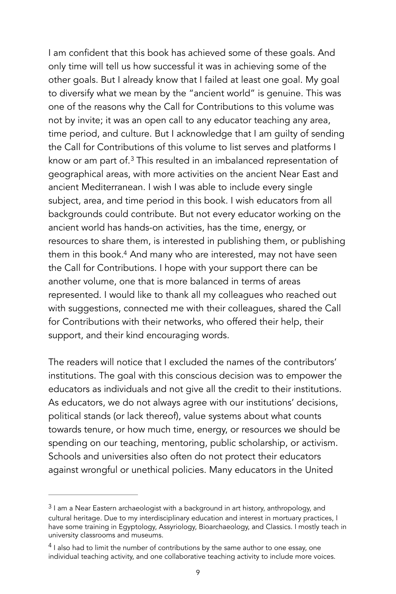<span id="page-10-2"></span>I am confident that this book has achieved some of these goals. And only time will tell us how successful it was in achieving some of the other goals. But I already know that I failed at least one goal. My goal to diversify what we mean by the "ancient world" is genuine. This was one of the reasons why the Call for Contributions to this volume was not by invite; it was an open call to any educator teaching any area, time period, and culture. But I acknowledge that I am guilty of sending the Call for Contributions of this volume to list serves and platforms I know or am part of. $3$  This resulted in an imbalanced representation of geographical areas, with more activities on the ancient Near East and ancient Mediterranean. I wish I was able to include every single subject, area, and time period in this book. I wish educators from all backgrounds could contribute. But not every educator working on the ancient world has hands-on activities, has the time, energy, or resources to share them, is interested in publishing them, or publishing them in this book[.](#page-10-1)<sup>[4](#page-10-1)</sup> And many who are interested, may not have seen the Call for Contributions. I hope with your support there can be another volume, one that is more balanced in terms of areas represented. I would like to thank all my colleagues who reached out with suggestions, connected me with their colleagues, shared the Call for Contributions with their networks, who offered their help, their support, and their kind encouraging words.

<span id="page-10-3"></span>The readers will notice that I excluded the names of the contributors' institutions. The goal with this conscious decision was to empower the educators as individuals and not give all the credit to their institutions. As educators, we do not always agree with our institutions' decisions, political stands (or lack thereof), value systems about what counts towards tenure, or how much time, energy, or resources we should be spending on our teaching, mentoring, public scholarship, or activism. Schools and universities also often do not protect their educators against wrongful or unethical policies. Many educators in the United

<span id="page-10-0"></span> $31$  $31$ am a Near Eastern archaeologist with a background in art history, anthropology, and cultural heritage. Due to my interdisciplinary education and interest in mortuary practices, I have some training in Egyptology, Assyriology, Bioarchaeology, and Classics. I mostly teach in university classrooms and museums.

<span id="page-10-1"></span> $<sup>4</sup>$  $<sup>4</sup>$  $<sup>4</sup>$ I also had to limit the number of contributions by the same author to one essay, one</sup> individual teaching activity, and one collaborative teaching activity to include more voices.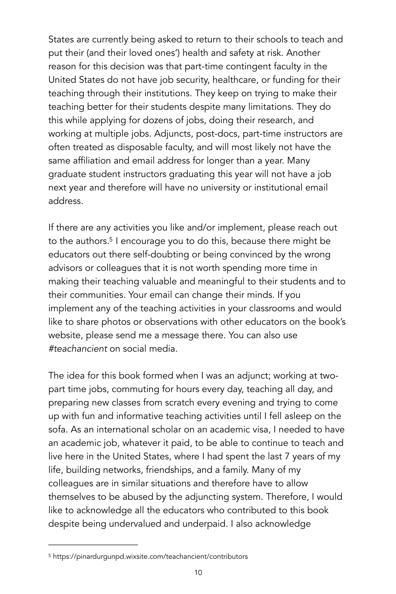States are currently being asked to return to their schools to teach and put their (and their loved ones') health and safety at risk. Another reason for this decision was that part-time contingent faculty in the United States do not have job security, healthcare, or funding for their teaching through their institutions. They keep on trying to make their teaching better for their students despite many limitations. They do this while applying for dozens of jobs, doing their research, and working at multiple jobs. Adjuncts, post-docs, part-time instructors are often treated as disposable faculty, and will most likely not have the same affiliation and email address for longer than a year. Many graduate student instructors graduating this year will not have a job next year and therefore will have no university or institutional email address.

<span id="page-11-1"></span>If there are any activities you like and/or implement, please reach out to the authors[.](#page-11-0)<sup>[5](#page-11-0)</sup> I encourage you to do this, because there might be educators out there self-doubting or being convinced by the wrong advisors or colleagues that it is not worth spending more time in making their teaching valuable and meaningful to their students and to their communities. Your email can change their minds. If you implement any of the teaching activities in your classrooms and would like to share photos or observations with other educators on the book's website, please send me a message there. You can also use *#teachancient* on social media.

The idea for this book formed when I was an adjunct; working at twopart time jobs, commuting for hours every day, teaching all day, and preparing new classes from scratch every evening and trying to come up with fun and informative teaching activities until I fell asleep on the sofa. As an international scholar on an academic visa, I needed to have an academic job, whatever it paid, to be able to continue to teach and live here in the United States, where I had spent the last 7 years of my life, building networks, friendships, and a family. Many of my colleagues are in similar situations and therefore have to allow themselves to be abused by the adjuncting system. Therefore*,* I would like to acknowledge all the educators who contributed to this book despite being undervalued and underpaid. I also acknowledge

<span id="page-11-0"></span>https://pinardurgunpd.wixsite.com/teachancient/contributors [5](#page-11-1)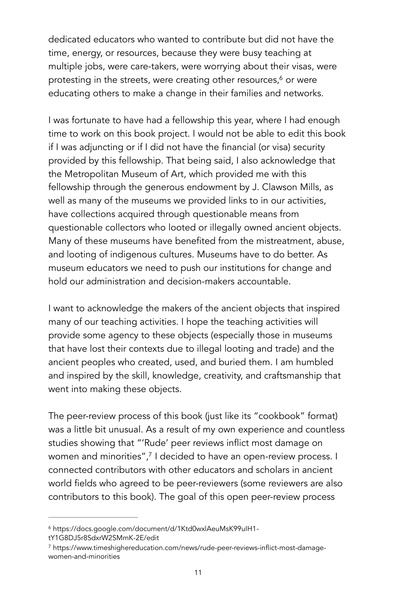<span id="page-12-2"></span>dedicated educators who wanted to contribute but did not have the time, energy, or resources, because they were busy teaching at multiple jobs, were care-takers, were worrying about their visas, were protesting in the streets[,](#page-12-0) were creating other resources, $6$  or were educating others to make a change in their families and networks.

I was fortunate to have had a fellowship this year, where I had enough time to work on this book project. I would not be able to edit this book if I was adjuncting or if I did not have the financial (or visa) security provided by this fellowship. That being said, I also acknowledge that the Metropolitan Museum of Art, which provided me with this fellowship through the generous endowment by J. Clawson Mills, as well as many of the museums we provided links to in our activities, have collections acquired through questionable means from questionable collectors who looted or illegally owned ancient objects. Many of these museums have benefited from the mistreatment, abuse, and looting of indigenous cultures. Museums have to do better. As museum educators we need to push our institutions for change and hold our administration and decision-makers accountable.

I want to acknowledge the makers of the ancient objects that inspired many of our teaching activities. I hope the teaching activities will provide some agency to these objects (especially those in museums that have lost their contexts due to illegal looting and trade) and the ancient peoples who created, used, and buried them. I am humbled and inspired by the skill, knowledge, creativity, and craftsmanship that went into making these objects.

<span id="page-12-3"></span>The peer-review process of this book (just like its "cookbook" format) was a little bit unusual. As a result of my own experience and countless studies showing that "'Rude' peer reviews inflict most damage on women and minorities"[,](#page-12-1)<sup>[7](#page-12-1)</sup> I decided to have an open-review process. I connected contributors with other educators and scholars in ancient world fields who agreed to be peer-reviewers (some reviewers are also contributors to this book). The goal of this open peer-review process

<span id="page-12-0"></span>https://docs.google.com/document/d/1Ktd0wxlAeuMsK99uIH1- [6](#page-12-2) tY1G8DJ5r8SdxrW2SMmK-2E/edit

<span id="page-12-1"></span>https://www.timeshighereducation.com/news/rude-peer-reviews-inflict-most-damage- [7](#page-12-3) women-and-minorities